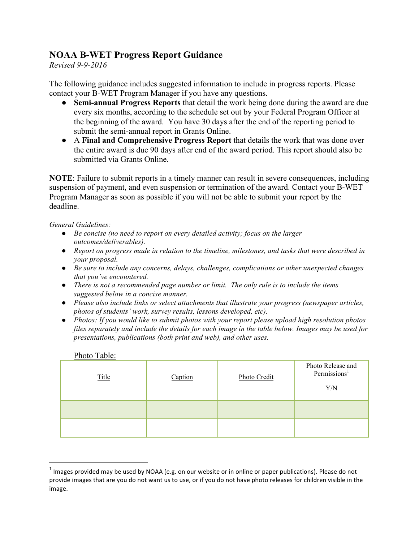## **NOAA B-WET Progress Report Guidance**

*Revised 9-9-2016*

The following guidance includes suggested information to include in progress reports. Please contact your B-WET Program Manager if you have any questions.

- **Semi-annual Progress Reports** that detail the work being done during the award are due every six months, according to the schedule set out by your Federal Program Officer at the beginning of the award. You have 30 days after the end of the reporting period to submit the semi-annual report in Grants Online.
- A **Final and Comprehensive Progress Report** that details the work that was done over the entire award is due 90 days after end of the award period. This report should also be submitted via Grants Online.

**NOTE**: Failure to submit reports in a timely manner can result in severe consequences, including suspension of payment, and even suspension or termination of the award. Contact your B-WET Program Manager as soon as possible if you will not be able to submit your report by the deadline.

*General Guidelines:*

- *Be concise (no need to report on every detailed activity; focus on the larger outcomes/deliverables).*
- *Report on progress made in relation to the timeline, milestones, and tasks that were described in your proposal.*
- *Be sure to include any concerns, delays, challenges, complications or other unexpected changes that you've encountered.*
- *There is not a recommended page number or limit. The only rule is to include the items suggested below in a concise manner.*
- *Please also include links or select attachments that illustrate your progress (newspaper articles, photos of students' work, survey results, lessons developed, etc).*
- *Photos: If you would like to submit photos with your report please upload high resolution photos files separately and include the details for each image in the table below. Images may be used for presentations, publications (both print and web), and other uses.*

| THUR THUIS.  |         |              |                                                      |
|--------------|---------|--------------|------------------------------------------------------|
| <b>Title</b> | Caption | Photo Credit | Photo Release and<br>Permissions <sup>1</sup><br>Y/N |
|              |         |              |                                                      |
|              |         |              |                                                      |

#### Photo Table:

<u> 1989 - Johann Stein, markin film yn y breninn y breninn y breninn y breninn y breninn y breninn y breninn y b</u>

 $<sup>1</sup>$  Images provided may be used by NOAA (e.g. on our website or in online or paper publications). Please do not</sup> provide images that are you do not want us to use, or if you do not have photo releases for children visible in the image.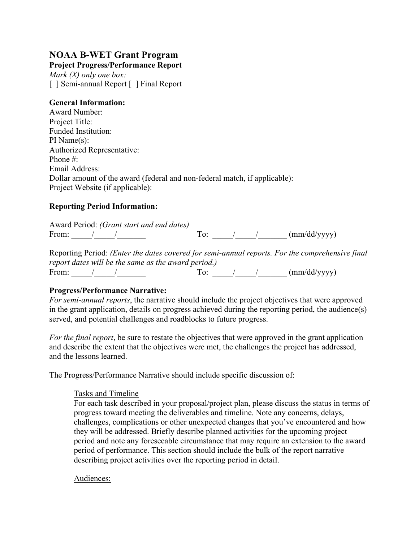# **NOAA B-WET Grant Program**

**Project Progress/Performance Report**  *Mark (X) only one box:* [ ] Semi-annual Report [ ] Final Report

#### **General Information:**

Award Number: Project Title: Funded Institution: PI Name(s): Authorized Representative: Phone #: Email Address: Dollar amount of the award (federal and non-federal match, if applicable): Project Website (if applicable):

## **Reporting Period Information:**

Award Period: *(Grant start and end dates)* From:  $\sqrt{2}$  / To:  $\sqrt{2}$  (mm/dd/yyyy)

Reporting Period: *(Enter the dates covered for semi-annual reports. For the comprehensive final report dates will be the same as the award period.)* From:  $\frac{1}{\sqrt{2\pi}}$  / To:  $\frac{1}{\sqrt{2\pi}}$  (mm/dd/yyyy)

## **Progress/Performance Narrative:**

*For semi-annual reports*, the narrative should include the project objectives that were approved in the grant application, details on progress achieved during the reporting period, the audience(s) served, and potential challenges and roadblocks to future progress.

*For the final report*, be sure to restate the objectives that were approved in the grant application and describe the extent that the objectives were met, the challenges the project has addressed, and the lessons learned.

The Progress/Performance Narrative should include specific discussion of:

## Tasks and Timeline

For each task described in your proposal/project plan, please discuss the status in terms of progress toward meeting the deliverables and timeline. Note any concerns, delays, challenges, complications or other unexpected changes that you've encountered and how they will be addressed. Briefly describe planned activities for the upcoming project period and note any foreseeable circumstance that may require an extension to the award period of performance. This section should include the bulk of the report narrative describing project activities over the reporting period in detail.

Audiences: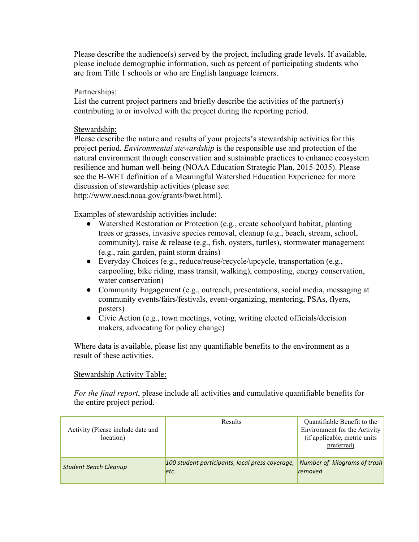Please describe the audience(s) served by the project, including grade levels. If available, please include demographic information, such as percent of participating students who are from Title 1 schools or who are English language learners.

#### Partnerships:

List the current project partners and briefly describe the activities of the partner(s) contributing to or involved with the project during the reporting period.

#### Stewardship:

Please describe the nature and results of your projects's stewardship activities for this project period. *Environmental stewardship* is the responsible use and protection of the natural environment through conservation and sustainable practices to enhance ecosystem resilience and human well-being (NOAA Education Strategic Plan, 2015-2035). Please see the B-WET definition of a Meaningful Watershed Education Experience for more discussion of stewardship activities (please see: http://www.oesd.noaa.gov/grants/bwet.html).

Examples of stewardship activities include:

- Watershed Restoration or Protection (e.g., create schoolyard habitat, planting trees or grasses, invasive species removal, cleanup (e.g., beach, stream, school, community), raise & release (e.g., fish, oysters, turtles), stormwater management (e.g., rain garden, paint storm drains)
- Everyday Choices (e.g., reduce/reuse/recycle/upcycle, transportation (e.g., carpooling, bike riding, mass transit, walking), composting, energy conservation, water conservation)
- Community Engagement (e.g., outreach, presentations, social media, messaging at community events/fairs/festivals, event-organizing, mentoring, PSAs, flyers, posters)
- Civic Action (e.g., town meetings, voting, writing elected officials/decision makers, advocating for policy change)

Where data is available, please list any quantifiable benefits to the environment as a result of these activities.

#### Stewardship Activity Table:

*For the final report*, please include all activities and cumulative quantifiable benefits for the entire project period.

| Activity (Please include date and<br>location) | Results                                                  | Quantifiable Benefit to the<br>Environment for the Activity<br>(if applicable, metric units)<br>preferred) |
|------------------------------------------------|----------------------------------------------------------|------------------------------------------------------------------------------------------------------------|
| <b>Student Beach Cleanup</b>                   | 100 student participants, local press coverage,<br>letc. | Number of kilograms of trash<br><i>removed</i>                                                             |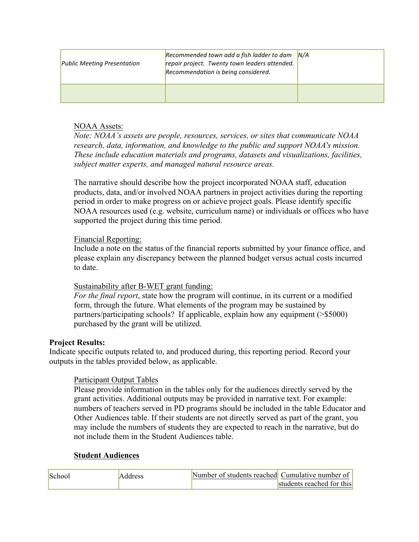| <b>Public Meeting Presentation</b> | Recommended town add a fish ladder to dam $N/A$<br>repair project. Twenty town leaders attended.<br>Recommendation is being considered. |  |
|------------------------------------|-----------------------------------------------------------------------------------------------------------------------------------------|--|
|                                    |                                                                                                                                         |  |

## NOAA Assets:

*Note: NOAA's assets are people, resources, services, or sites that communicate NOAA research, data, information, and knowledge to the public and support NOAA's mission. These include education materials and programs, datasets and visualizations, facilities, subject matter experts, and managed natural resource areas.*

The narrative should describe how the project incorporated NOAA staff, education products, data, and/or involved NOAA partners in project activities during the reporting period in order to make progress on or achieve project goals. Please identify specific NOAA resources used (e.g. website, curriculum name) or individuals or offices who have supported the project during this time period.

## Financial Reporting:

Include a note on the status of the financial reports submitted by your finance office, and please explain any discrepancy between the planned budget versus actual costs incurred to date.

## Sustainability after B-WET grant funding:

*For the final report*, state how the program will continue, in its current or a modified form, through the future. What elements of the program may be sustained by partners/participating schools? If applicable, explain how any equipment (>\$5000) purchased by the grant will be utilized.

## **Project Results:**

Indicate specific outputs related to, and produced during, this reporting period. Record your outputs in the tables provided below, as applicable.

## Participant Output Tables

Please provide information in the tables only for the audiences directly served by the grant activities. Additional outputs may be provided in narrative text. For example: numbers of teachers served in PD programs should be included in the table Educator and Other Audiences table. If their students are not directly served as part of the grant, you may include the numbers of students they are expected to reach in the narrative, but do not include them in the Student Audiences table.

## **Student Audiences**

| School | Address | Number of students reached Cumulative number of |                           |
|--------|---------|-------------------------------------------------|---------------------------|
|        |         |                                                 | students reached for this |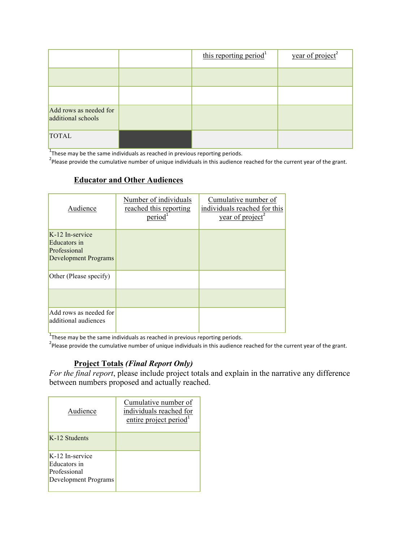|                                              | this reporting period <sup>1</sup> | year of project <sup>2</sup> |
|----------------------------------------------|------------------------------------|------------------------------|
|                                              |                                    |                              |
|                                              |                                    |                              |
| Add rows as needed for<br>additional schools |                                    |                              |
| <b>TOTAL</b>                                 |                                    |                              |

 $1$ These may be the same individuals as reached in previous reporting periods.

<sup>2</sup>Please provide the cumulative number of unique individuals in this audience reached for the current year of the grant.

#### **Educator and Other Audiences**

| Audience                                                                | Number of individuals<br>reached this reporting<br>period <sup>1</sup> | Cumulative number of<br>individuals reached for this<br>year of project <sup>2</sup> |
|-------------------------------------------------------------------------|------------------------------------------------------------------------|--------------------------------------------------------------------------------------|
| K-12 In-service<br>Educators in<br>Professional<br>Development Programs |                                                                        |                                                                                      |
| Other (Please specify)                                                  |                                                                        |                                                                                      |
| Add rows as needed for<br>additional audiences                          |                                                                        |                                                                                      |

 $1$ These may be the same individuals as reached in previous reporting periods.

<sup>2</sup>Please provide the cumulative number of unique individuals in this audience reached for the current year of the grant.

## **Project Totals** *(Final Report Only)*

*For the final report*, please include project totals and explain in the narrative any difference between numbers proposed and actually reached.

| Audience                                                                | Cumulative number of<br>individuals reached for<br>entire project period <sup>1</sup> |
|-------------------------------------------------------------------------|---------------------------------------------------------------------------------------|
| K-12 Students                                                           |                                                                                       |
| K-12 In-service<br>Educators in<br>Professional<br>Development Programs |                                                                                       |